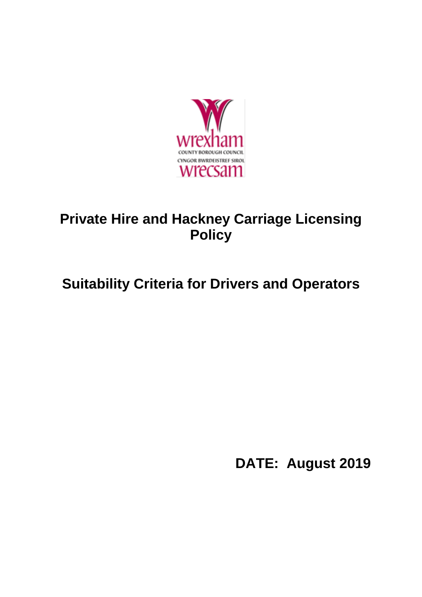

# **Private Hire and Hackney Carriage Licensing Policy**

# **Suitability Criteria for Drivers and Operators**

**DATE: August 2019**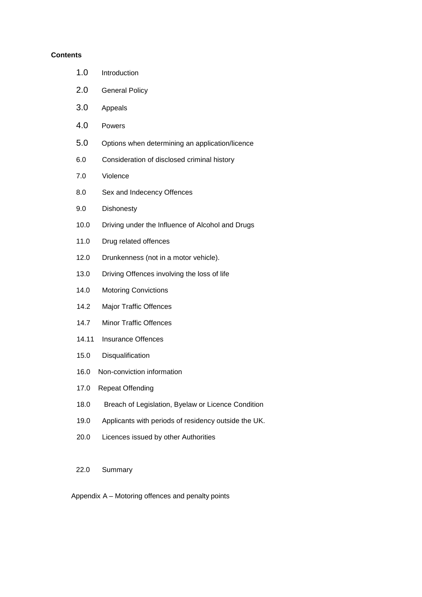#### **Contents**

| 1.0   | Introduction                                         |
|-------|------------------------------------------------------|
| 2.0   | <b>General Policy</b>                                |
| 3.0   | Appeals                                              |
| 4.0   | Powers                                               |
| 5.0   | Options when determining an application/licence      |
| 6.0   | Consideration of disclosed criminal history          |
| 7.0   | Violence                                             |
| 8.0   | Sex and Indecency Offences                           |
| 9.0   | Dishonesty                                           |
| 10.0  | Driving under the Influence of Alcohol and Drugs     |
| 11.0  | Drug related offences                                |
| 12.0  | Drunkenness (not in a motor vehicle).                |
| 13.0  | Driving Offences involving the loss of life          |
| 14.0  | <b>Motoring Convictions</b>                          |
| 14.2  | Major Traffic Offences                               |
| 14.7  | <b>Minor Traffic Offences</b>                        |
| 14.11 | <b>Insurance Offences</b>                            |
| 15.0  | Disqualification                                     |
| 16.0  | Non-conviction information                           |
|       | 17.0 Repeat Offending                                |
| 18.0  | Breach of Legislation, Byelaw or Licence Condition   |
| 19.0  | Applicants with periods of residency outside the UK. |
| 20.0  | Licences issued by other Authorities                 |
|       |                                                      |

22.0 Summary

Appendix A – Motoring offences and penalty points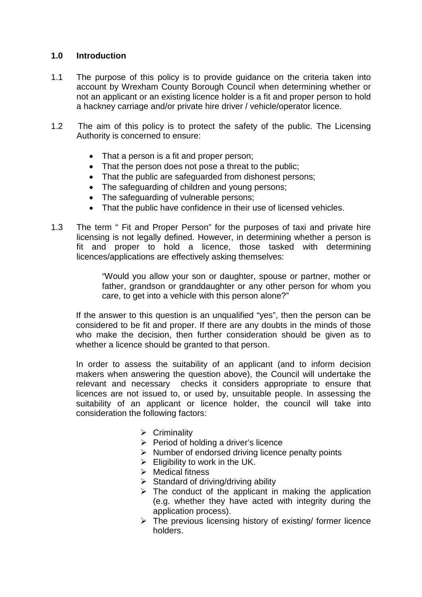## **1.0 Introduction**

- 1.1 The purpose of this policy is to provide guidance on the criteria taken into account by Wrexham County Borough Council when determining whether or not an applicant or an existing licence holder is a fit and proper person to hold a hackney carriage and/or private hire driver / vehicle/operator licence.
- 1.2 The aim of this policy is to protect the safety of the public. The Licensing Authority is concerned to ensure:
	- That a person is a fit and proper person;
	- That the person does not pose a threat to the public;
	- That the public are safeguarded from dishonest persons;
	- The safeguarding of children and young persons;
	- The safeguarding of vulnerable persons;
	- That the public have confidence in their use of licensed vehicles.
- 1.3 The term " Fit and Proper Person" for the purposes of taxi and private hire licensing is not legally defined. However, in determining whether a person is fit and proper to hold a licence, those tasked with determining licences/applications are effectively asking themselves:

"Would you allow your son or daughter, spouse or partner, mother or father, grandson or granddaughter or any other person for whom you care, to get into a vehicle with this person alone?"

If the answer to this question is an unqualified "yes", then the person can be considered to be fit and proper. If there are any doubts in the minds of those who make the decision, then further consideration should be given as to whether a licence should be granted to that person.

In order to assess the suitability of an applicant (and to inform decision makers when answering the question above), the Council will undertake the relevant and necessary checks it considers appropriate to ensure that licences are not issued to, or used by, unsuitable people. In assessing the suitability of an applicant or licence holder, the council will take into consideration the following factors:

- $\triangleright$  Criminality
- $\triangleright$  Period of holding a driver's licence
- $\triangleright$  Number of endorsed driving licence penalty points
- $\triangleright$  Eligibility to work in the UK.
- $\triangleright$  Medical fitness
- $\triangleright$  Standard of driving/driving ability
- $\triangleright$  The conduct of the applicant in making the application (e.g. whether they have acted with integrity during the application process).
- $\triangleright$  The previous licensing history of existing/ former licence holders.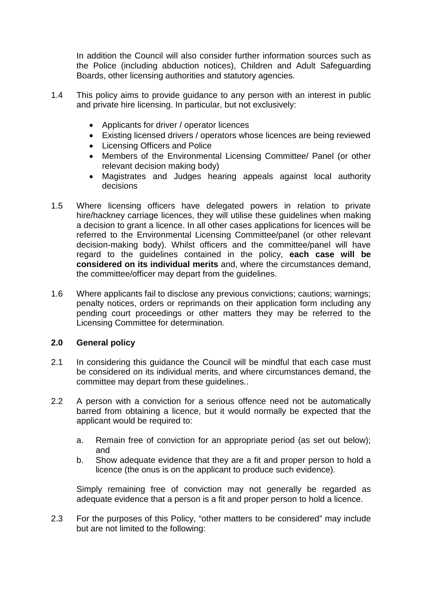In addition the Council will also consider further information sources such as the Police (including abduction notices), Children and Adult Safeguarding Boards, other licensing authorities and statutory agencies.

- 1.4 This policy aims to provide guidance to any person with an interest in public and private hire licensing. In particular, but not exclusively:
	- Applicants for driver / operator licences
	- Existing licensed drivers / operators whose licences are being reviewed
	- Licensing Officers and Police
	- Members of the Environmental Licensing Committee/ Panel (or other relevant decision making body)
	- Magistrates and Judges hearing appeals against local authority decisions
- 1.5 Where licensing officers have delegated powers in relation to private hire/hackney carriage licences, they will utilise these guidelines when making a decision to grant a licence. In all other cases applications for licences will be referred to the Environmental Licensing Committee/panel (or other relevant decision-making body). Whilst officers and the committee/panel will have regard to the guidelines contained in the policy, **each case will be considered on its individual merits** and, where the circumstances demand, the committee/officer may depart from the guidelines.
- 1.6 Where applicants fail to disclose any previous convictions; cautions; warnings; penalty notices, orders or reprimands on their application form including any pending court proceedings or other matters they may be referred to the Licensing Committee for determination.

## **2.0 General policy**

- 2.1 In considering this quidance the Council will be mindful that each case must be considered on its individual merits, and where circumstances demand, the committee may depart from these guidelines..
- 2.2 A person with a conviction for a serious offence need not be automatically barred from obtaining a licence, but it would normally be expected that the applicant would be required to:
	- a. Remain free of conviction for an appropriate period (as set out below); and
	- b. Show adequate evidence that they are a fit and proper person to hold a licence (the onus is on the applicant to produce such evidence).

Simply remaining free of conviction may not generally be regarded as adequate evidence that a person is a fit and proper person to hold a licence.

2.3 For the purposes of this Policy, "other matters to be considered" may include but are not limited to the following: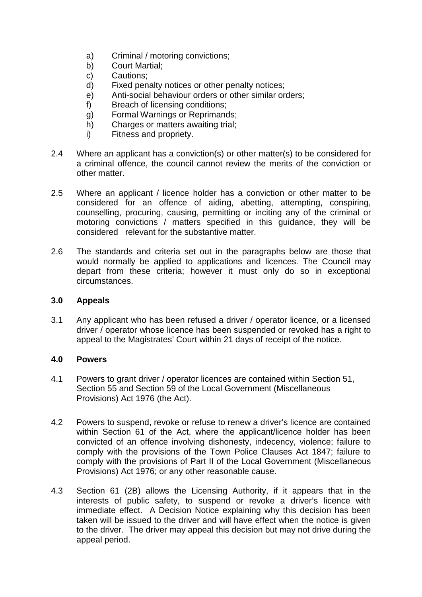- a) Criminal / motoring convictions;
- b) Court Martial;
- c) Cautions;
- d) Fixed penalty notices or other penalty notices;
- e) Anti-social behaviour orders or other similar orders;
- f) Breach of licensing conditions;
- g) Formal Warnings or Reprimands;
- h) Charges or matters awaiting trial;
- i) Fitness and propriety.
- 2.4 Where an applicant has a conviction(s) or other matter(s) to be considered for a criminal offence, the council cannot review the merits of the conviction or other matter.
- 2.5 Where an applicant / licence holder has a conviction or other matter to be considered for an offence of aiding, abetting, attempting, conspiring, counselling, procuring, causing, permitting or inciting any of the criminal or motoring convictions / matters specified in this guidance, they will be considered relevant for the substantive matter.
- 2.6 The standards and criteria set out in the paragraphs below are those that would normally be applied to applications and licences. The Council may depart from these criteria; however it must only do so in exceptional circumstances.

#### **3.0 Appeals**

3.1 Any applicant who has been refused a driver / operator licence, or a licensed driver / operator whose licence has been suspended or revoked has a right to appeal to the Magistrates' Court within 21 days of receipt of the notice.

#### **4.0 Powers**

- 4.1 Powers to grant driver / operator licences are contained within Section 51, Section 55 and Section 59 of the Local Government (Miscellaneous Provisions) Act 1976 (the Act).
- 4.2 Powers to suspend, revoke or refuse to renew a driver's licence are contained within Section 61 of the Act, where the applicant/licence holder has been convicted of an offence involving dishonesty, indecency, violence; failure to comply with the provisions of the Town Police Clauses Act 1847; failure to comply with the provisions of Part II of the Local Government (Miscellaneous Provisions) Act 1976; or any other reasonable cause.
- 4.3 Section 61 (2B) allows the Licensing Authority, if it appears that in the interests of public safety, to suspend or revoke a driver's licence with immediate effect. A Decision Notice explaining why this decision has been taken will be issued to the driver and will have effect when the notice is given to the driver. The driver may appeal this decision but may not drive during the appeal period.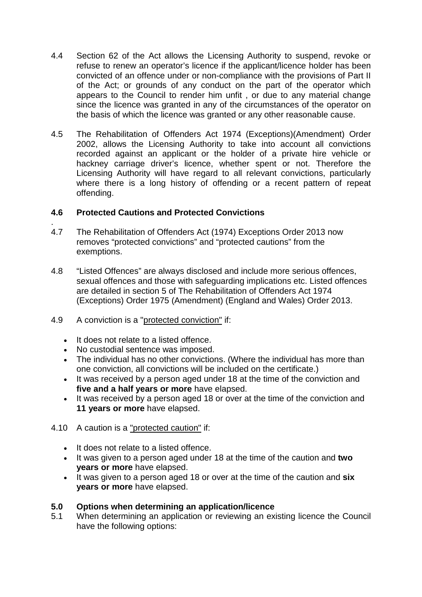- 4.4 Section 62 of the Act allows the Licensing Authority to suspend, revoke or refuse to renew an operator's licence if the applicant/licence holder has been convicted of an offence under or non-compliance with the provisions of Part II of the Act; or grounds of any conduct on the part of the operator which appears to the Council to render him unfit , or due to any material change since the licence was granted in any of the circumstances of the operator on the basis of which the licence was granted or any other reasonable cause.
- 4.5 The Rehabilitation of Offenders Act 1974 (Exceptions)(Amendment) Order 2002, allows the Licensing Authority to take into account all convictions recorded against an applicant or the holder of a private hire vehicle or hackney carriage driver's licence, whether spent or not. Therefore the Licensing Authority will have regard to all relevant convictions, particularly where there is a long history of offending or a recent pattern of repeat offending.

## **4.6 Protected Cautions and Protected Convictions**

- . 4.7 The Rehabilitation of Offenders Act (1974) Exceptions Order 2013 now removes "protected convictions" and "protected cautions" from the exemptions.
- 4.8 "Listed Offences" are always disclosed and include more serious offences, sexual offences and those with safeguarding implications etc. Listed offences are detailed in section 5 of The Rehabilitation of Offenders Act 1974 (Exceptions) Order 1975 (Amendment) (England and Wales) Order 2013.
- 4.9 A conviction is a "protected conviction" if:
	- It does not relate to a listed offence.
	- No custodial sentence was imposed.
	- The individual has no other convictions. (Where the individual has more than one conviction, all convictions will be included on the certificate.)
	- It was received by a person aged under 18 at the time of the conviction and **five and a half years or more** have elapsed.
	- It was received by a person aged 18 or over at the time of the conviction and **11 years or more** have elapsed.
- 4.10 A caution is a "protected caution" if:
	- It does not relate to a listed offence.
	- It was given to a person aged under 18 at the time of the caution and **two years or more** have elapsed.
	- It was given to a person aged 18 or over at the time of the caution and **six years or more** have elapsed.

## **5.0 Options when determining an application/licence**

5.1 When determining an application or reviewing an existing licence the Council have the following options: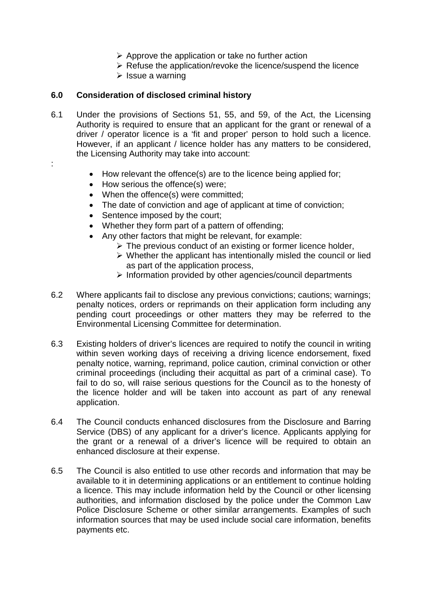- $\triangleright$  Approve the application or take no further action
- $\triangleright$  Refuse the application/revoke the licence/suspend the licence
- $\triangleright$  Issue a warning

## **6.0 Consideration of disclosed criminal history**

- 6.1 Under the provisions of Sections 51, 55, and 59, of the Act, the Licensing Authority is required to ensure that an applicant for the grant or renewal of a driver / operator licence is a 'fit and proper' person to hold such a licence. However, if an applicant / licence holder has any matters to be considered, the Licensing Authority may take into account:
- :
- How relevant the offence(s) are to the licence being applied for;
- How serious the offence(s) were:
- When the offence(s) were committed;
- The date of conviction and age of applicant at time of conviction;
- Sentence imposed by the court;
- Whether they form part of a pattern of offending;
- Any other factors that might be relevant, for example:
	- $\triangleright$  The previous conduct of an existing or former licence holder,
	- $\triangleright$  Whether the applicant has intentionally misled the council or lied as part of the application process,
	- $\triangleright$  Information provided by other agencies/council departments
- 6.2 Where applicants fail to disclose any previous convictions; cautions; warnings; penalty notices, orders or reprimands on their application form including any pending court proceedings or other matters they may be referred to the Environmental Licensing Committee for determination.
- 6.3 Existing holders of driver's licences are required to notify the council in writing within seven working days of receiving a driving licence endorsement, fixed penalty notice, warning, reprimand, police caution, criminal conviction or other criminal proceedings (including their acquittal as part of a criminal case). To fail to do so, will raise serious questions for the Council as to the honesty of the licence holder and will be taken into account as part of any renewal application.
- 6.4 The Council conducts enhanced disclosures from the Disclosure and Barring Service (DBS) of any applicant for a driver's licence. Applicants applying for the grant or a renewal of a driver's licence will be required to obtain an enhanced disclosure at their expense.
- 6.5 The Council is also entitled to use other records and information that may be available to it in determining applications or an entitlement to continue holding a licence. This may include information held by the Council or other licensing authorities, and information disclosed by the police under the Common Law Police Disclosure Scheme or other similar arrangements. Examples of such information sources that may be used include social care information, benefits payments etc.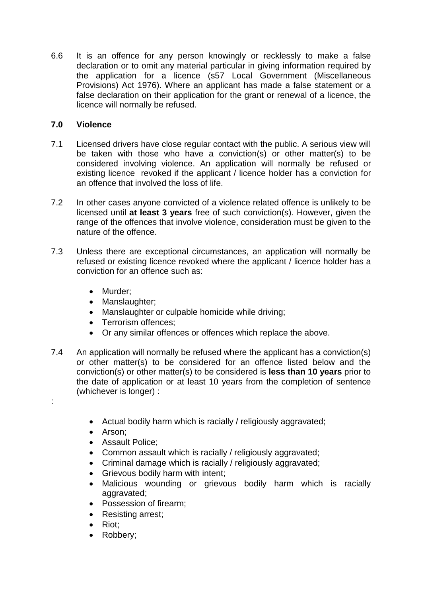6.6 It is an offence for any person knowingly or recklessly to make a false declaration or to omit any material particular in giving information required by the application for a licence (s57 Local Government (Miscellaneous Provisions) Act 1976). Where an applicant has made a false statement or a false declaration on their application for the grant or renewal of a licence, the licence will normally be refused.

## **7.0 Violence**

- 7.1 Licensed drivers have close regular contact with the public. A serious view will be taken with those who have a conviction(s) or other matter(s) to be considered involving violence. An application will normally be refused or existing licence revoked if the applicant / licence holder has a conviction for an offence that involved the loss of life.
- 7.2 In other cases anyone convicted of a violence related offence is unlikely to be licensed until **at least 3 years** free of such conviction(s). However, given the range of the offences that involve violence, consideration must be given to the nature of the offence.
- 7.3 Unless there are exceptional circumstances, an application will normally be refused or existing licence revoked where the applicant / licence holder has a conviction for an offence such as:
	- Murder;
	- Manslaughter;
	- Manslaughter or culpable homicide while driving;
	- Terrorism offences;
	- Or any similar offences or offences which replace the above.
- 7.4 An application will normally be refused where the applicant has a conviction(s) or other matter(s) to be considered for an offence listed below and the conviction(s) or other matter(s) to be considered is **less than 10 years** prior to the date of application or at least 10 years from the completion of sentence (whichever is longer) :
	- Actual bodily harm which is racially / religiously aggravated;
	- Arson;

:

- Assault Police;
- Common assault which is racially / religiously aggravated;
- Criminal damage which is racially / religiously aggravated;
- Grievous bodily harm with intent;
- Malicious wounding or grievous bodily harm which is racially aggravated:
- Possession of firearm;
- Resisting arrest;
- Riot;
- Robbery;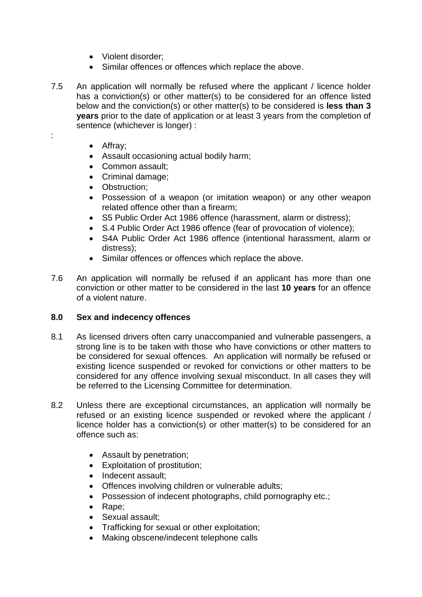- Violent disorder;
- Similar offences or offences which replace the above.
- 7.5 An application will normally be refused where the applicant / licence holder has a conviction(s) or other matter(s) to be considered for an offence listed below and the conviction(s) or other matter(s) to be considered is **less than 3 years** prior to the date of application or at least 3 years from the completion of sentence (whichever is longer) :
	- Affray;

:

- Assault occasioning actual bodily harm;
- Common assault;
- Criminal damage;
- Obstruction:
- Possession of a weapon (or imitation weapon) or any other weapon related offence other than a firearm;
- S5 Public Order Act 1986 offence (harassment, alarm or distress);
- S.4 Public Order Act 1986 offence (fear of provocation of violence);
- S4A Public Order Act 1986 offence (intentional harassment, alarm or distress);
- Similar offences or offences which replace the above.
- 7.6 An application will normally be refused if an applicant has more than one conviction or other matter to be considered in the last **10 years** for an offence of a violent nature.

#### **8.0 Sex and indecency offences**

- 8.1 As licensed drivers often carry unaccompanied and vulnerable passengers, a strong line is to be taken with those who have convictions or other matters to be considered for sexual offences. An application will normally be refused or existing licence suspended or revoked for convictions or other matters to be considered for any offence involving sexual misconduct. In all cases they will be referred to the Licensing Committee for determination.
- 8.2 Unless there are exceptional circumstances, an application will normally be refused or an existing licence suspended or revoked where the applicant / licence holder has a conviction(s) or other matter(s) to be considered for an offence such as:
	- Assault by penetration;
	- Exploitation of prostitution;
	- Indecent assault:
	- Offences involving children or vulnerable adults;
	- Possession of indecent photographs, child pornography etc.;
	- Rape;
	- Sexual assault;
	- Trafficking for sexual or other exploitation;
	- Making obscene/indecent telephone calls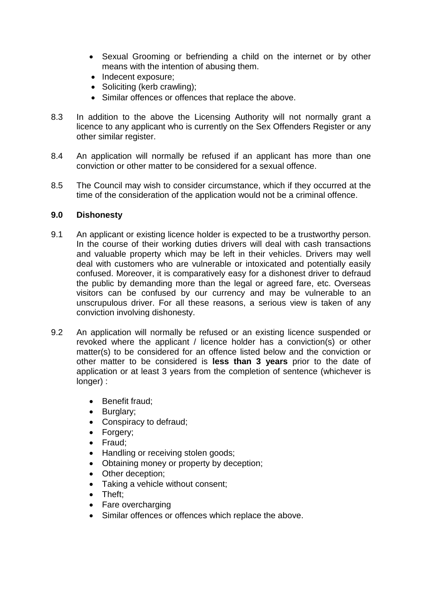- Sexual Grooming or befriending a child on the internet or by other means with the intention of abusing them.
- Indecent exposure;
- Soliciting (kerb crawling);
- Similar offences or offences that replace the above.
- 8.3 In addition to the above the Licensing Authority will not normally grant a licence to any applicant who is currently on the Sex Offenders Register or any other similar register.
- 8.4 An application will normally be refused if an applicant has more than one conviction or other matter to be considered for a sexual offence.
- 8.5 The Council may wish to consider circumstance, which if they occurred at the time of the consideration of the application would not be a criminal offence.

#### **9.0 Dishonesty**

- 9.1 An applicant or existing licence holder is expected to be a trustworthy person. In the course of their working duties drivers will deal with cash transactions and valuable property which may be left in their vehicles. Drivers may well deal with customers who are vulnerable or intoxicated and potentially easily confused. Moreover, it is comparatively easy for a dishonest driver to defraud the public by demanding more than the legal or agreed fare, etc. Overseas visitors can be confused by our currency and may be vulnerable to an unscrupulous driver. For all these reasons, a serious view is taken of any conviction involving dishonesty.
- 9.2 An application will normally be refused or an existing licence suspended or revoked where the applicant / licence holder has a conviction(s) or other matter(s) to be considered for an offence listed below and the conviction or other matter to be considered is **less than 3 years** prior to the date of application or at least 3 years from the completion of sentence (whichever is longer) :
	- Benefit fraud;
	- Burglary;
	- Conspiracy to defraud;
	- Forgery;
	- Fraud;
	- Handling or receiving stolen goods;
	- Obtaining money or property by deception;
	- Other deception;
	- Taking a vehicle without consent;
	- Theft:
	- Fare overcharging
	- Similar offences or offences which replace the above.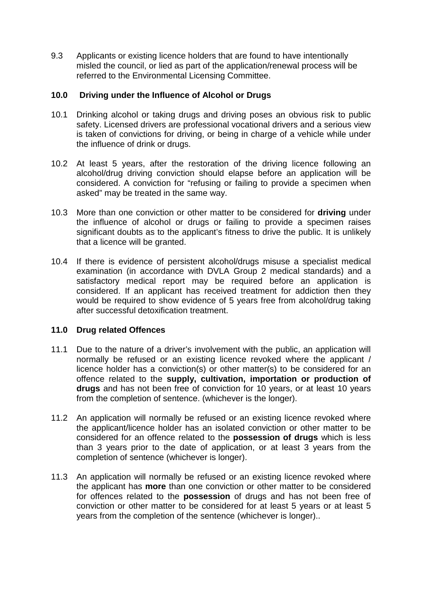9.3 Applicants or existing licence holders that are found to have intentionally misled the council, or lied as part of the application/renewal process will be referred to the Environmental Licensing Committee.

## **10.0 Driving under the Influence of Alcohol or Drugs**

- 10.1 Drinking alcohol or taking drugs and driving poses an obvious risk to public safety. Licensed drivers are professional vocational drivers and a serious view is taken of convictions for driving, or being in charge of a vehicle while under the influence of drink or drugs.
- 10.2 At least 5 years, after the restoration of the driving licence following an alcohol/drug driving conviction should elapse before an application will be considered. A conviction for "refusing or failing to provide a specimen when asked" may be treated in the same way.
- 10.3 More than one conviction or other matter to be considered for **driving** under the influence of alcohol or drugs or failing to provide a specimen raises significant doubts as to the applicant's fitness to drive the public. It is unlikely that a licence will be granted.
- 10.4 If there is evidence of persistent alcohol/drugs misuse a specialist medical examination (in accordance with DVLA Group 2 medical standards) and a satisfactory medical report may be required before an application is considered. If an applicant has received treatment for addiction then they would be required to show evidence of 5 years free from alcohol/drug taking after successful detoxification treatment.

#### **11.0 Drug related Offences**

- 11.1 Due to the nature of a driver's involvement with the public, an application will normally be refused or an existing licence revoked where the applicant / licence holder has a conviction(s) or other matter(s) to be considered for an offence related to the **supply, cultivation, importation or production of drugs** and has not been free of conviction for 10 years, or at least 10 years from the completion of sentence. (whichever is the longer).
- 11.2 An application will normally be refused or an existing licence revoked where the applicant/licence holder has an isolated conviction or other matter to be considered for an offence related to the **possession of drugs** which is less than 3 years prior to the date of application, or at least 3 years from the completion of sentence (whichever is longer).
- 11.3 An application will normally be refused or an existing licence revoked where the applicant has **more** than one conviction or other matter to be considered for offences related to the **possession** of drugs and has not been free of conviction or other matter to be considered for at least 5 years or at least 5 years from the completion of the sentence (whichever is longer)..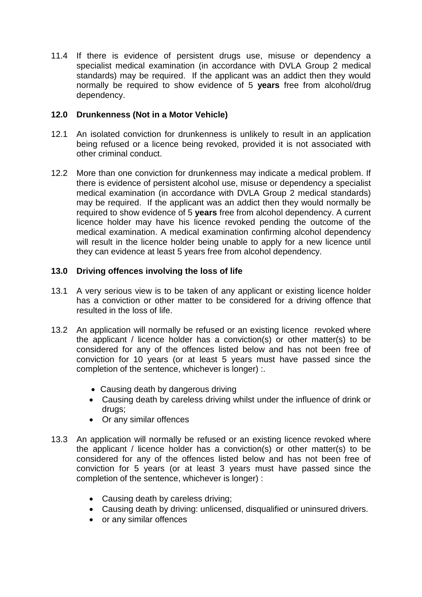11.4 If there is evidence of persistent drugs use, misuse or dependency a specialist medical examination (in accordance with DVLA Group 2 medical standards) may be required. If the applicant was an addict then they would normally be required to show evidence of 5 **years** free from alcohol/drug dependency.

## **12.0 Drunkenness (Not in a Motor Vehicle)**

- 12.1 An isolated conviction for drunkenness is unlikely to result in an application being refused or a licence being revoked, provided it is not associated with other criminal conduct.
- 12.2 More than one conviction for drunkenness may indicate a medical problem. If there is evidence of persistent alcohol use, misuse or dependency a specialist medical examination (in accordance with DVLA Group 2 medical standards) may be required. If the applicant was an addict then they would normally be required to show evidence of 5 **years** free from alcohol dependency. A current licence holder may have his licence revoked pending the outcome of the medical examination. A medical examination confirming alcohol dependency will result in the licence holder being unable to apply for a new licence until they can evidence at least 5 years free from alcohol dependency.

## **13.0 Driving offences involving the loss of life**

- 13.1 A very serious view is to be taken of any applicant or existing licence holder has a conviction or other matter to be considered for a driving offence that resulted in the loss of life.
- 13.2 An application will normally be refused or an existing licence revoked where the applicant / licence holder has a conviction(s) or other matter(s) to be considered for any of the offences listed below and has not been free of conviction for 10 years (or at least 5 years must have passed since the completion of the sentence, whichever is longer) :.
	- Causing death by dangerous driving
	- Causing death by careless driving whilst under the influence of drink or drugs;
	- Or any similar offences
- 13.3 An application will normally be refused or an existing licence revoked where the applicant / licence holder has a conviction(s) or other matter(s) to be considered for any of the offences listed below and has not been free of conviction for 5 years (or at least 3 years must have passed since the completion of the sentence, whichever is longer) :
	- Causing death by careless driving;
	- Causing death by driving: unlicensed, disqualified or uninsured drivers.
	- or any similar offences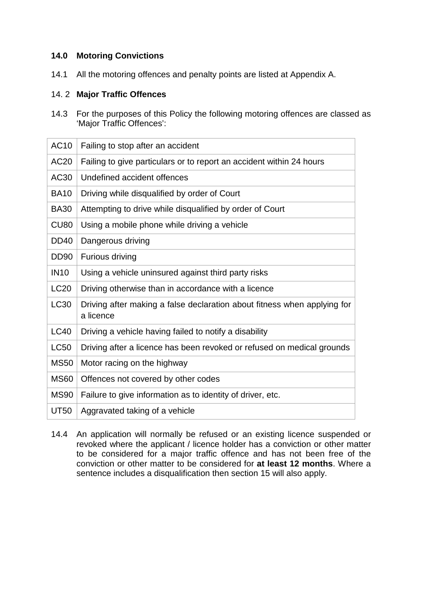## **14.0 Motoring Convictions**

14.1 All the motoring offences and penalty points are listed at Appendix A.

#### 14. 2 **Major Traffic Offences**

14.3 For the purposes of this Policy the following motoring offences are classed as 'Major Traffic Offences':

| <b>AC10</b>      | Failing to stop after an accident                                                     |
|------------------|---------------------------------------------------------------------------------------|
| AC <sub>20</sub> | Failing to give particulars or to report an accident within 24 hours                  |
| AC30             | Undefined accident offences                                                           |
| <b>BA10</b>      | Driving while disqualified by order of Court                                          |
| <b>BA30</b>      | Attempting to drive while disqualified by order of Court                              |
| <b>CU80</b>      | Using a mobile phone while driving a vehicle                                          |
| <b>DD40</b>      | Dangerous driving                                                                     |
| <b>DD90</b>      | Furious driving                                                                       |
| <b>IN10</b>      | Using a vehicle uninsured against third party risks                                   |
| <b>LC20</b>      | Driving otherwise than in accordance with a licence                                   |
| LC30             | Driving after making a false declaration about fitness when applying for<br>a licence |
| <b>LC40</b>      | Driving a vehicle having failed to notify a disability                                |
| <b>LC50</b>      | Driving after a licence has been revoked or refused on medical grounds                |
| <b>MS50</b>      | Motor racing on the highway                                                           |
| <b>MS60</b>      | Offences not covered by other codes                                                   |
| <b>MS90</b>      | Failure to give information as to identity of driver, etc.                            |
| <b>UT50</b>      | Aggravated taking of a vehicle                                                        |

14.4 An application will normally be refused or an existing licence suspended or revoked where the applicant / licence holder has a conviction or other matter to be considered for a major traffic offence and has not been free of the conviction or other matter to be considered for **at least 12 months**. Where a sentence includes a disqualification then section 15 will also apply.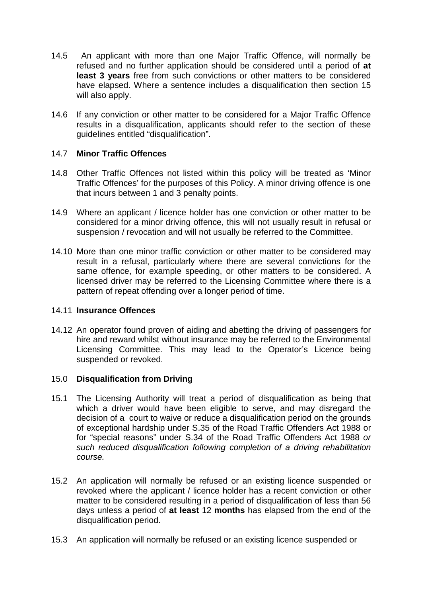- 14.5 An applicant with more than one Major Traffic Offence, will normally be refused and no further application should be considered until a period of **at least 3 years** free from such convictions or other matters to be considered have elapsed. Where a sentence includes a disqualification then section 15 will also apply.
- 14.6 If any conviction or other matter to be considered for a Major Traffic Offence results in a disqualification, applicants should refer to the section of these guidelines entitled "disqualification".

#### 14.7 **Minor Traffic Offences**

- 14.8 Other Traffic Offences not listed within this policy will be treated as 'Minor Traffic Offences' for the purposes of this Policy. A minor driving offence is one that incurs between 1 and 3 penalty points.
- 14.9 Where an applicant / licence holder has one conviction or other matter to be considered for a minor driving offence, this will not usually result in refusal or suspension / revocation and will not usually be referred to the Committee.
- 14.10 More than one minor traffic conviction or other matter to be considered may result in a refusal, particularly where there are several convictions for the same offence, for example speeding, or other matters to be considered. A licensed driver may be referred to the Licensing Committee where there is a pattern of repeat offending over a longer period of time.

#### 14.11 **Insurance Offences**

14.12 An operator found proven of aiding and abetting the driving of passengers for hire and reward whilst without insurance may be referred to the Environmental Licensing Committee. This may lead to the Operator's Licence being suspended or revoked.

## 15.0 **Disqualification from Driving**

- 15.1 The Licensing Authority will treat a period of disqualification as being that which a driver would have been eligible to serve, and may disregard the decision of a court to waive or reduce a disqualification period on the grounds of exceptional hardship under S.35 of the Road Traffic Offenders Act 1988 or for "special reasons" under S.34 of the Road Traffic Offenders Act 1988 *or such reduced disqualification following completion of a driving rehabilitation course.*
- 15.2 An application will normally be refused or an existing licence suspended or revoked where the applicant / licence holder has a recent conviction or other matter to be considered resulting in a period of disqualification of less than 56 days unless a period of **at least** 12 **months** has elapsed from the end of the disqualification period.
- 15.3 An application will normally be refused or an existing licence suspended or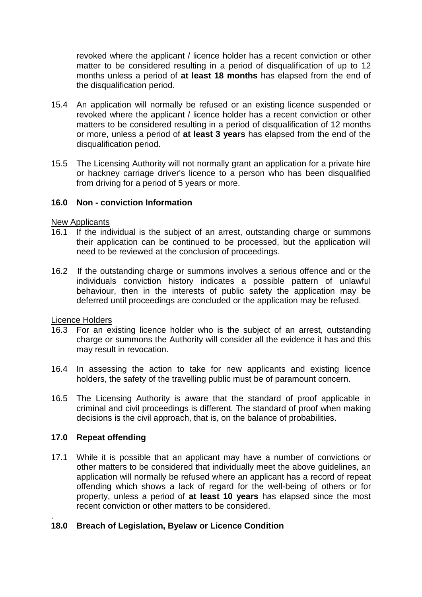revoked where the applicant / licence holder has a recent conviction or other matter to be considered resulting in a period of disqualification of up to 12 months unless a period of **at least 18 months** has elapsed from the end of the disqualification period.

- 15.4 An application will normally be refused or an existing licence suspended or revoked where the applicant / licence holder has a recent conviction or other matters to be considered resulting in a period of disqualification of 12 months or more, unless a period of **at least 3 years** has elapsed from the end of the disqualification period.
- 15.5 The Licensing Authority will not normally grant an application for a private hire or hackney carriage driver's licence to a person who has been disqualified from driving for a period of 5 years or more.

#### **16.0 Non - conviction Information**

New Applicants

- 16.1 If the individual is the subject of an arrest, outstanding charge or summons their application can be continued to be processed, but the application will need to be reviewed at the conclusion of proceedings.
- 16.2 If the outstanding charge or summons involves a serious offence and or the individuals conviction history indicates a possible pattern of unlawful behaviour, then in the interests of public safety the application may be deferred until proceedings are concluded or the application may be refused.

Licence Holders

- 16.3 For an existing licence holder who is the subject of an arrest, outstanding charge or summons the Authority will consider all the evidence it has and this may result in revocation.
- 16.4 In assessing the action to take for new applicants and existing licence holders, the safety of the travelling public must be of paramount concern.
- 16.5 The Licensing Authority is aware that the standard of proof applicable in criminal and civil proceedings is different. The standard of proof when making decisions is the civil approach, that is, on the balance of probabilities.

#### **17.0 Repeat offending**

17.1 While it is possible that an applicant may have a number of convictions or other matters to be considered that individually meet the above guidelines, an application will normally be refused where an applicant has a record of repeat offending which shows a lack of regard for the well-being of others or for property, unless a period of **at least 10 years** has elapsed since the most recent conviction or other matters to be considered.

#### . **18.0 Breach of Legislation, Byelaw or Licence Condition**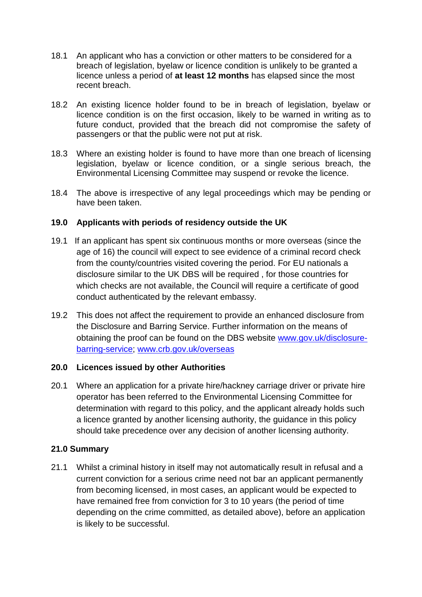- 18.1 An applicant who has a conviction or other matters to be considered for a breach of legislation, byelaw or licence condition is unlikely to be granted a licence unless a period of **at least 12 months** has elapsed since the most recent breach.
- 18.2 An existing licence holder found to be in breach of legislation, byelaw or licence condition is on the first occasion, likely to be warned in writing as to future conduct, provided that the breach did not compromise the safety of passengers or that the public were not put at risk.
- 18.3 Where an existing holder is found to have more than one breach of licensing legislation, byelaw or licence condition, or a single serious breach, the Environmental Licensing Committee may suspend or revoke the licence.
- 18.4 The above is irrespective of any legal proceedings which may be pending or have been taken.

## **19.0 Applicants with periods of residency outside the UK**

- 19.1 If an applicant has spent six continuous months or more overseas (since the age of 16) the council will expect to see evidence of a criminal record check from the county/countries visited covering the period. For EU nationals a disclosure similar to the UK DBS will be required , for those countries for which checks are not available, the Council will require a certificate of good conduct authenticated by the relevant embassy.
- 19.2 This does not affect the requirement to provide an enhanced disclosure from the Disclosure and Barring Service. Further information on the means of obtaining the proof can be found on the DBS website [www.gov.uk/disclosure](http://www.gov.uk/disclosure-barring-service)[barring-service;](http://www.gov.uk/disclosure-barring-service) [www.crb.gov.uk/overseas](http://www.crb.gov.uk/overseas)

#### **20.0 Licences issued by other Authorities**

20.1 Where an application for a private hire/hackney carriage driver or private hire operator has been referred to the Environmental Licensing Committee for determination with regard to this policy, and the applicant already holds such a licence granted by another licensing authority, the guidance in this policy should take precedence over any decision of another licensing authority.

## **21.0 Summary**

21.1 Whilst a criminal history in itself may not automatically result in refusal and a current conviction for a serious crime need not bar an applicant permanently from becoming licensed, in most cases, an applicant would be expected to have remained free from conviction for 3 to 10 years (the period of time depending on the crime committed, as detailed above), before an application is likely to be successful.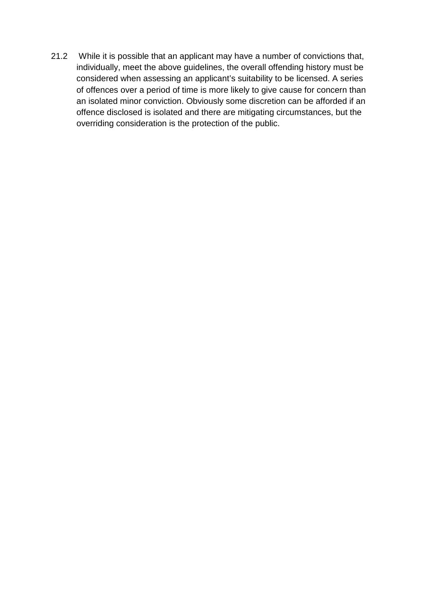21.2 While it is possible that an applicant may have a number of convictions that, individually, meet the above guidelines, the overall offending history must be considered when assessing an applicant's suitability to be licensed. A series of offences over a period of time is more likely to give cause for concern than an isolated minor conviction. Obviously some discretion can be afforded if an offence disclosed is isolated and there are mitigating circumstances, but the overriding consideration is the protection of the public.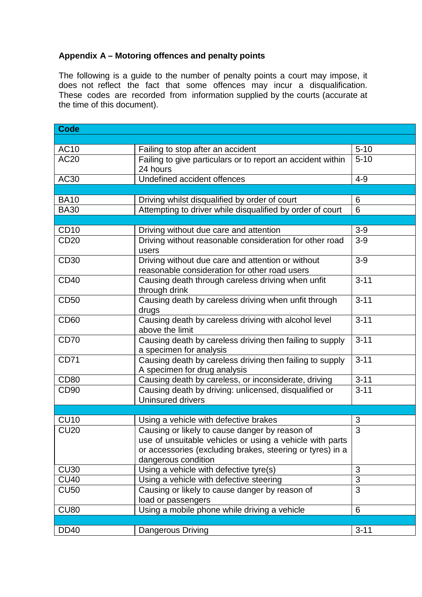## **Appendix A – Motoring offences and penalty points**

The following is a guide to the number of penalty points a court may impose, it does not reflect the fact that some offences may incur a disqualification. These codes are recorded from information supplied by the courts (accurate at the time of this document).

| <b>Code</b>      |                                                             |                |
|------------------|-------------------------------------------------------------|----------------|
|                  |                                                             |                |
| <b>AC10</b>      | Failing to stop after an accident                           | $5 - 10$       |
| <b>AC20</b>      | Failing to give particulars or to report an accident within | $5 - 10$       |
|                  | 24 hours                                                    |                |
| AC30             | Undefined accident offences                                 | $4 - 9$        |
|                  |                                                             |                |
| <b>BA10</b>      | Driving whilst disqualified by order of court               | 6              |
| <b>BA30</b>      | Attempting to driver while disqualified by order of court   | 6              |
|                  |                                                             |                |
| <b>CD10</b>      | Driving without due care and attention                      | $3-9$          |
| <b>CD20</b>      | Driving without reasonable consideration for other road     | $3-9$          |
|                  | users                                                       |                |
| <b>CD30</b>      | Driving without due care and attention or without           | $3-9$          |
|                  | reasonable consideration for other road users               |                |
| <b>CD40</b>      | Causing death through careless driving when unfit           | $3 - 11$       |
|                  | through drink                                               |                |
| <b>CD50</b>      | Causing death by careless driving when unfit through        | $3 - 11$       |
|                  | drugs                                                       |                |
| <b>CD60</b>      | Causing death by careless driving with alcohol level        | $3 - 11$       |
|                  | above the limit                                             |                |
| <b>CD70</b>      | Causing death by careless driving then failing to supply    | $3 - 11$       |
|                  | a specimen for analysis                                     |                |
| <b>CD71</b>      | Causing death by careless driving then failing to supply    | $3 - 11$       |
|                  | A specimen for drug analysis                                |                |
| <b>CD80</b>      | Causing death by careless, or inconsiderate, driving        | $3 - 11$       |
| CD <sub>90</sub> | Causing death by driving: unlicensed, disqualified or       | $3 - 11$       |
|                  | <b>Uninsured drivers</b>                                    |                |
|                  |                                                             |                |
| <b>CU10</b>      | Using a vehicle with defective brakes                       | 3              |
| <b>CU20</b>      | Causing or likely to cause danger by reason of              | 3              |
|                  | use of unsuitable vehicles or using a vehicle with parts    |                |
|                  | or accessories (excluding brakes, steering or tyres) in a   |                |
|                  | dangerous condition                                         |                |
| <b>CU30</b>      | Using a vehicle with defective tyre(s)                      | 3              |
| <b>CU40</b>      | Using a vehicle with defective steering                     | 3              |
| <b>CU50</b>      | Causing or likely to cause danger by reason of              | $\overline{3}$ |
|                  | load or passengers                                          |                |
| <b>CU80</b>      | Using a mobile phone while driving a vehicle                | 6              |
|                  |                                                             |                |
| <b>DD40</b>      | Dangerous Driving                                           | $3 - 11$       |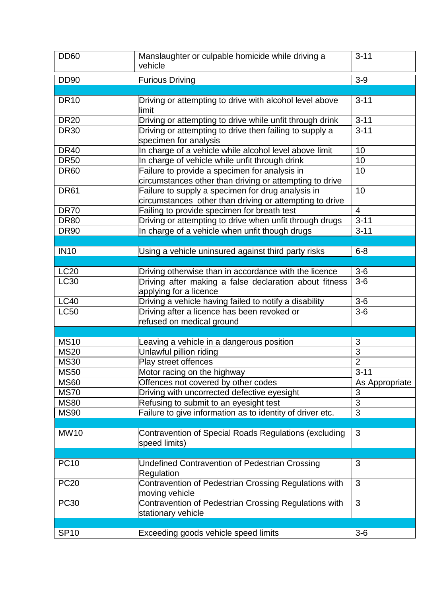| <b>DD60</b> | Manslaughter or culpable homicide while driving a<br>vehicle                                                 | $3 - 11$       |
|-------------|--------------------------------------------------------------------------------------------------------------|----------------|
| <b>DD90</b> | <b>Furious Driving</b>                                                                                       | $3-9$          |
|             |                                                                                                              |                |
| <b>DR10</b> | Driving or attempting to drive with alcohol level above<br>limit                                             | $3 - 11$       |
| <b>DR20</b> | Driving or attempting to drive while unfit through drink                                                     | $3 - 11$       |
| <b>DR30</b> | Driving or attempting to drive then failing to supply a<br>specimen for analysis                             | $3 - 11$       |
| <b>DR40</b> | In charge of a vehicle while alcohol level above limit                                                       | 10             |
| <b>DR50</b> | In charge of vehicle while unfit through drink                                                               | 10             |
| <b>DR60</b> | Failure to provide a specimen for analysis in<br>circumstances other than driving or attempting to drive     | 10             |
| <b>DR61</b> | Failure to supply a specimen for drug analysis in<br>circumstances other than driving or attempting to drive | 10             |
| <b>DR70</b> | Failing to provide specimen for breath test                                                                  | $\overline{4}$ |
| <b>DR80</b> | Driving or attempting to drive when unfit through drugs                                                      | $3 - 11$       |
| <b>DR90</b> | In charge of a vehicle when unfit though drugs                                                               | $3 - 11$       |
|             |                                                                                                              |                |
| <b>IN10</b> | Using a vehicle uninsured against third party risks                                                          | $6 - 8$        |
|             |                                                                                                              |                |
| <b>LC20</b> | Driving otherwise than in accordance with the licence                                                        | $3-6$          |
| LC30        | Driving after making a false declaration about fitness<br>applying for a licence                             | $3-6$          |
| <b>LC40</b> | Driving a vehicle having failed to notify a disability                                                       | $3-6$          |
| <b>LC50</b> | Driving after a licence has been revoked or                                                                  | $3-6$          |
|             | refused on medical ground                                                                                    |                |
| <b>MS10</b> |                                                                                                              | 3              |
| <b>MS20</b> | Leaving a vehicle in a dangerous position<br>Unlawful pillion riding                                         | $\overline{3}$ |
| <b>MS30</b> | Play street offences                                                                                         | $\overline{2}$ |
| <b>MS50</b> | Motor racing on the highway                                                                                  | $3 - 11$       |
| <b>MS60</b> | Offences not covered by other codes                                                                          | As Appropriate |
| <b>MS70</b> |                                                                                                              | 3              |
| <b>MS80</b> | Driving with uncorrected defective eyesight<br>Refusing to submit to an eyesight test                        | 3              |
| <b>MS90</b> | Failure to give information as to identity of driver etc.                                                    | 3              |
|             |                                                                                                              |                |
| <b>MW10</b> | Contravention of Special Roads Regulations (excluding<br>speed limits)                                       | 3              |
|             |                                                                                                              |                |
| <b>PC10</b> | Undefined Contravention of Pedestrian Crossing<br>Regulation                                                 | 3              |
| <b>PC20</b> | Contravention of Pedestrian Crossing Regulations with<br>moving vehicle                                      | 3              |
| <b>PC30</b> | Contravention of Pedestrian Crossing Regulations with<br>stationary vehicle                                  | 3              |
|             |                                                                                                              |                |
| <b>SP10</b> | Exceeding goods vehicle speed limits                                                                         | $3-6$          |